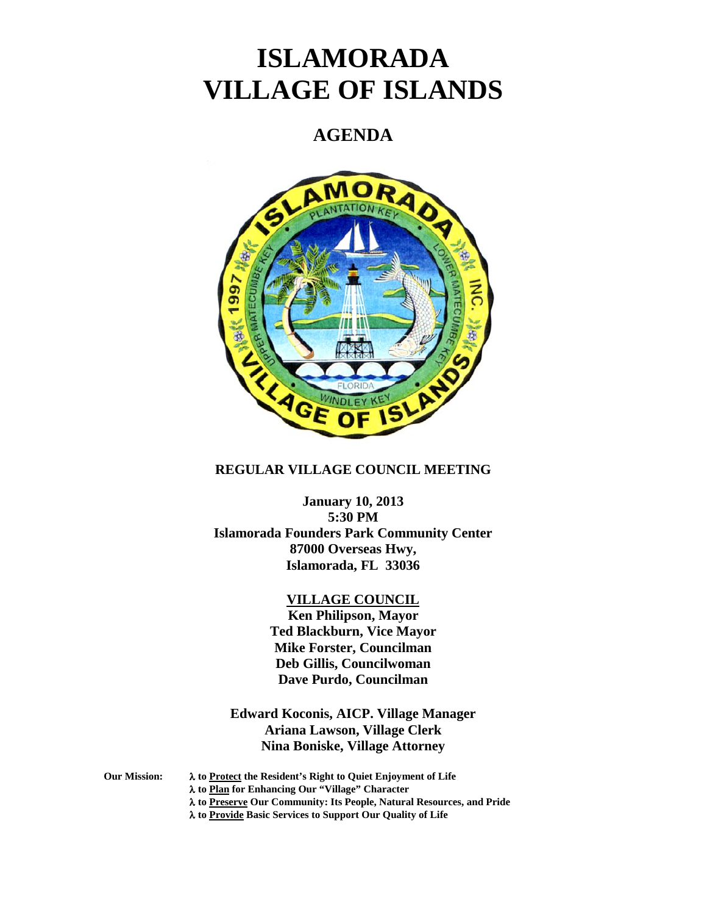# **ISLAMORADA VILLAGE OF ISLANDS**

# **AGENDA**



## **REGULAR VILLAGE COUNCIL MEETING**

# **January 10, 2013 5:30 PM Islamorada Founders Park Community Center 87000 Overseas Hwy, Islamorada, FL 33036**

#### **VILLAGE COUNCIL**

**Ken Philipson, Mayor Ted Blackburn, Vice Mayor Mike Forster, Councilman Deb Gillis, Councilwoman Dave Purdo, Councilman**

# **Edward Koconis, AICP. Village Manager Ariana Lawson, Village Clerk Nina Boniske, Village Attorney**

**Our Mission:** λ **to Protect the Resident's Right to Quiet Enjoyment of Life**

λ **to Plan for Enhancing Our "Village" Character**

λ **to Preserve Our Community: Its People, Natural Resources, and Pride**

λ **to Provide Basic Services to Support Our Quality of Life**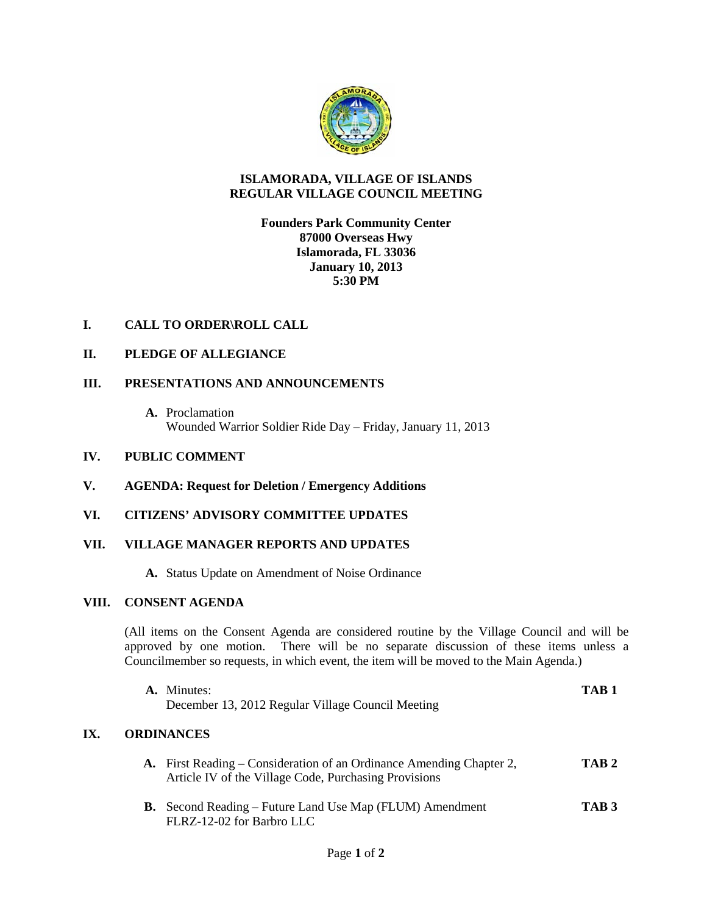

#### **ISLAMORADA, VILLAGE OF ISLANDS REGULAR VILLAGE COUNCIL MEETING**

#### **Founders Park Community Center 87000 Overseas Hwy Islamorada, FL 33036 January 10, 2013 5:30 PM**

# **I. CALL TO ORDER\ROLL CALL**

#### **II. PLEDGE OF ALLEGIANCE**

#### **III. PRESENTATIONS AND ANNOUNCEMENTS**

**A.** Proclamation Wounded Warrior Soldier Ride Day – Friday, January 11, 2013

#### **IV. PUBLIC COMMENT**

**V. AGENDA: Request for Deletion / Emergency Additions**

# **VI. CITIZENS' ADVISORY COMMITTEE UPDATES**

#### **VII. VILLAGE MANAGER REPORTS AND UPDATES**

**A.** Status Update on Amendment of Noise Ordinance

#### **VIII. CONSENT AGENDA**

**IX.** 

(All items on the Consent Agenda are considered routine by the Village Council and will be approved by one motion. There will be no separate discussion of these items unless a Councilmember so requests, in which event, the item will be moved to the Main Agenda.)

| A. Minutes:<br>December 13, 2012 Regular Village Council Meeting                                                                     | TAR <sub>1</sub> |
|--------------------------------------------------------------------------------------------------------------------------------------|------------------|
| ORDINANCES                                                                                                                           |                  |
| <b>A.</b> First Reading – Consideration of an Ordinance Amending Chapter 2,<br>Article IV of the Village Code, Purchasing Provisions | TAB 2            |
| <b>B.</b> Second Reading – Future Land Use Map (FLUM) Amendment<br>FLRZ-12-02 for Barbro LLC                                         | TAB <sub>3</sub> |
| $\sim$ $\sim$                                                                                                                        |                  |